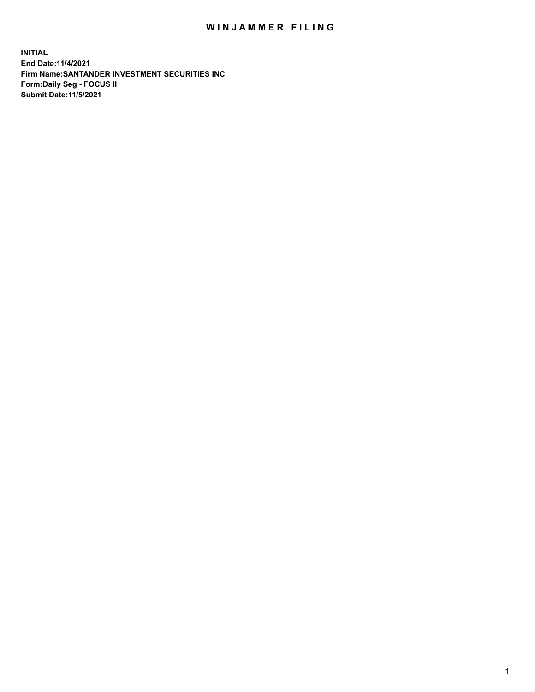## WIN JAMMER FILING

**INITIAL End Date:11/4/2021 Firm Name:SANTANDER INVESTMENT SECURITIES INC Form:Daily Seg - FOCUS II Submit Date:11/5/2021**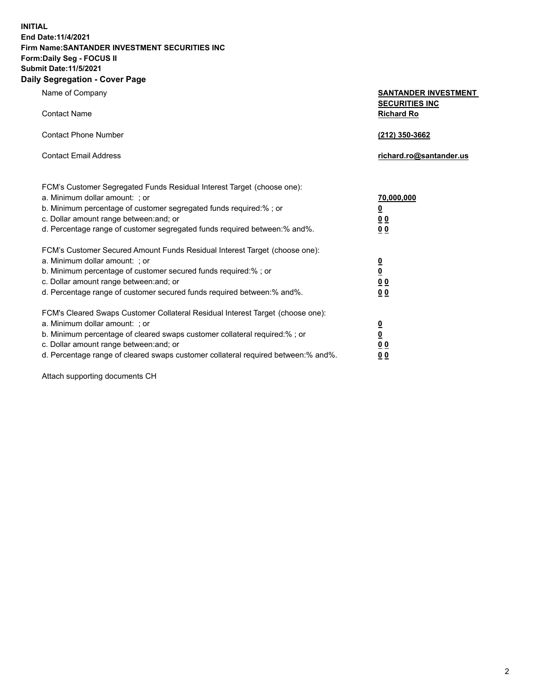**INITIAL End Date:11/4/2021 Firm Name:SANTANDER INVESTMENT SECURITIES INC Form:Daily Seg - FOCUS II Submit Date:11/5/2021 Daily Segregation - Cover Page**

| Name of Company                                                                   | <b>SANTANDER INVESTMENT</b>                |
|-----------------------------------------------------------------------------------|--------------------------------------------|
| <b>Contact Name</b>                                                               | <b>SECURITIES INC</b><br><b>Richard Ro</b> |
| <b>Contact Phone Number</b>                                                       | (212) 350-3662                             |
| <b>Contact Email Address</b>                                                      | richard.ro@santander.us                    |
| FCM's Customer Segregated Funds Residual Interest Target (choose one):            |                                            |
| a. Minimum dollar amount: ; or                                                    | 70,000,000                                 |
| b. Minimum percentage of customer segregated funds required:% ; or                | <u>0</u>                                   |
| c. Dollar amount range between: and; or                                           | 00                                         |
| d. Percentage range of customer segregated funds required between:% and%.         | 0 <sub>0</sub>                             |
| FCM's Customer Secured Amount Funds Residual Interest Target (choose one):        |                                            |
| a. Minimum dollar amount: ; or                                                    | $\frac{0}{0}$                              |
| b. Minimum percentage of customer secured funds required:%; or                    |                                            |
| c. Dollar amount range between: and; or                                           | 0 <sub>0</sub>                             |
| d. Percentage range of customer secured funds required between:% and%.            | 0 <sub>0</sub>                             |
| FCM's Cleared Swaps Customer Collateral Residual Interest Target (choose one):    |                                            |
| a. Minimum dollar amount: ; or                                                    | $\frac{0}{0}$                              |
| b. Minimum percentage of cleared swaps customer collateral required:% ; or        |                                            |
| c. Dollar amount range between: and; or                                           | 00                                         |
| d. Percentage range of cleared swaps customer collateral required between:% and%. | 00                                         |

Attach supporting documents CH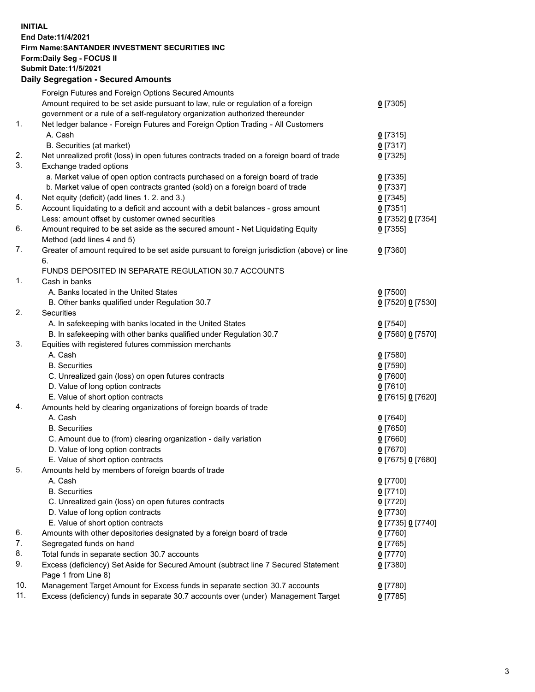## **INITIAL End Date:11/4/2021 Firm Name:SANTANDER INVESTMENT SECURITIES INC Form:Daily Seg - FOCUS II Submit Date:11/5/2021 Daily Segregation - Secured Amounts**

|            | Foreign Futures and Foreign Options Secured Amounts                                         |                   |
|------------|---------------------------------------------------------------------------------------------|-------------------|
|            | Amount required to be set aside pursuant to law, rule or regulation of a foreign            | $0$ [7305]        |
|            | government or a rule of a self-regulatory organization authorized thereunder                |                   |
| 1.         | Net ledger balance - Foreign Futures and Foreign Option Trading - All Customers             |                   |
|            | A. Cash                                                                                     | $0$ [7315]        |
|            | B. Securities (at market)                                                                   | $0$ [7317]        |
| 2.         | Net unrealized profit (loss) in open futures contracts traded on a foreign board of trade   | $0$ [7325]        |
| 3.         | Exchange traded options                                                                     |                   |
|            | a. Market value of open option contracts purchased on a foreign board of trade              | $0$ [7335]        |
|            | b. Market value of open contracts granted (sold) on a foreign board of trade                | $0$ [7337]        |
| 4.         | Net equity (deficit) (add lines 1. 2. and 3.)                                               | $0$ [7345]        |
| 5.         | Account liquidating to a deficit and account with a debit balances - gross amount           | $0$ [7351]        |
|            | Less: amount offset by customer owned securities                                            | 0 [7352] 0 [7354] |
| 6.         | Amount required to be set aside as the secured amount - Net Liquidating Equity              | $0$ [7355]        |
|            | Method (add lines 4 and 5)                                                                  |                   |
| 7.         | Greater of amount required to be set aside pursuant to foreign jurisdiction (above) or line | $0$ [7360]        |
|            | 6.                                                                                          |                   |
|            | FUNDS DEPOSITED IN SEPARATE REGULATION 30.7 ACCOUNTS                                        |                   |
| 1.         | Cash in banks                                                                               |                   |
|            | A. Banks located in the United States                                                       | $0$ [7500]        |
|            | B. Other banks qualified under Regulation 30.7                                              | 0 [7520] 0 [7530] |
| 2.         | <b>Securities</b>                                                                           |                   |
|            | A. In safekeeping with banks located in the United States                                   | $0$ [7540]        |
|            | B. In safekeeping with other banks qualified under Regulation 30.7                          | 0 [7560] 0 [7570] |
| 3.         | Equities with registered futures commission merchants                                       |                   |
|            | A. Cash                                                                                     | $0$ [7580]        |
|            | <b>B.</b> Securities                                                                        | $0$ [7590]        |
|            | C. Unrealized gain (loss) on open futures contracts                                         | $0$ [7600]        |
|            | D. Value of long option contracts                                                           | $0$ [7610]        |
|            | E. Value of short option contracts                                                          | 0 [7615] 0 [7620] |
| 4.         | Amounts held by clearing organizations of foreign boards of trade                           |                   |
|            | A. Cash                                                                                     | $0$ [7640]        |
|            | <b>B.</b> Securities                                                                        | $0$ [7650]        |
|            | C. Amount due to (from) clearing organization - daily variation                             | $0$ [7660]        |
|            | D. Value of long option contracts                                                           | $0$ [7670]        |
|            | E. Value of short option contracts                                                          | 0 [7675] 0 [7680] |
| 5.         | Amounts held by members of foreign boards of trade                                          |                   |
|            | A. Cash                                                                                     | $0$ [7700]        |
|            | <b>B.</b> Securities                                                                        | $0$ [7710]        |
|            | C. Unrealized gain (loss) on open futures contracts                                         | $0$ [7720]        |
|            | D. Value of long option contracts                                                           | $0$ [7730]        |
|            | E. Value of short option contracts                                                          | 0 [7735] 0 [7740] |
| 6.         | Amounts with other depositories designated by a foreign board of trade                      | $0$ [7760]        |
| 7.         | Segregated funds on hand                                                                    | $0$ [7765]        |
| 8.         | Total funds in separate section 30.7 accounts                                               | $0$ [7770]        |
| 9.         | Excess (deficiency) Set Aside for Secured Amount (subtract line 7 Secured Statement         | $0$ [7380]        |
|            | Page 1 from Line 8)                                                                         |                   |
| 10.<br>11. | Management Target Amount for Excess funds in separate section 30.7 accounts                 | $0$ [7780]        |
|            | Excess (deficiency) funds in separate 30.7 accounts over (under) Management Target          | $0$ [7785]        |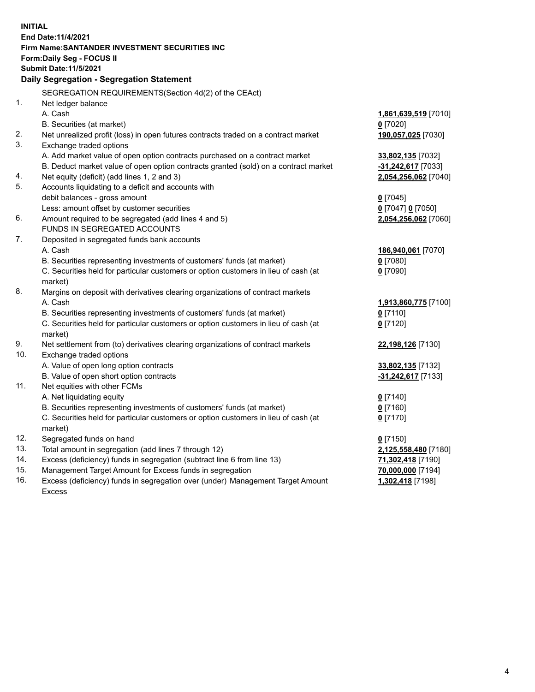| <b>INITIAL</b> |                                                                                     |                          |
|----------------|-------------------------------------------------------------------------------------|--------------------------|
|                | End Date: 11/4/2021                                                                 |                          |
|                | Firm Name: SANTANDER INVESTMENT SECURITIES INC                                      |                          |
|                | Form: Daily Seg - FOCUS II                                                          |                          |
|                | <b>Submit Date: 11/5/2021</b>                                                       |                          |
|                | Daily Segregation - Segregation Statement                                           |                          |
|                | SEGREGATION REQUIREMENTS(Section 4d(2) of the CEAct)                                |                          |
| 1.             | Net ledger balance                                                                  |                          |
|                | A. Cash                                                                             | 1,861,639,519 [7010]     |
|                | B. Securities (at market)                                                           | $0$ [7020]               |
| 2.             | Net unrealized profit (loss) in open futures contracts traded on a contract market  | 190,057,025 [7030]       |
| 3.             | Exchange traded options                                                             |                          |
|                | A. Add market value of open option contracts purchased on a contract market         | 33,802,135 [7032]        |
|                | B. Deduct market value of open option contracts granted (sold) on a contract market | -31,242,617 [7033]       |
| 4.             | Net equity (deficit) (add lines 1, 2 and 3)                                         | 2,054,256,062 [7040]     |
| 5.             | Accounts liquidating to a deficit and accounts with                                 |                          |
|                | debit balances - gross amount                                                       | $0$ [7045]               |
|                | Less: amount offset by customer securities                                          | $0$ [7047] $0$ [7050]    |
| 6.             | Amount required to be segregated (add lines 4 and 5)                                | 2,054,256,062 [7060]     |
|                | FUNDS IN SEGREGATED ACCOUNTS                                                        |                          |
| 7.             | Deposited in segregated funds bank accounts                                         |                          |
|                | A. Cash                                                                             | 186,940,061 [7070]       |
|                | B. Securities representing investments of customers' funds (at market)              | $0$ [7080]               |
|                | C. Securities held for particular customers or option customers in lieu of cash (at | $0$ [7090]               |
|                | market)                                                                             |                          |
| 8.             | Margins on deposit with derivatives clearing organizations of contract markets      |                          |
|                | A. Cash                                                                             | 1,913,860,775 [7100]     |
|                | B. Securities representing investments of customers' funds (at market)              | $0$ [7110]               |
|                | C. Securities held for particular customers or option customers in lieu of cash (at | $0$ [7120]               |
|                | market)                                                                             |                          |
| 9.             | Net settlement from (to) derivatives clearing organizations of contract markets     | 22,198,126 [7130]        |
| 10.            | Exchange traded options                                                             |                          |
|                | A. Value of open long option contracts                                              | 33,802,135 [7132]        |
| 11.            | B. Value of open short option contracts<br>Net equities with other FCMs             | -31,242,617 [7133]       |
|                | A. Net liquidating equity                                                           |                          |
|                | B. Securities representing investments of customers' funds (at market)              | $0$ [7140]<br>$0$ [7160] |
|                | C. Securities held for particular customers or option customers in lieu of cash (at | $0$ [7170]               |
|                | market)                                                                             |                          |
| 12.            | Segregated funds on hand                                                            | $0$ [7150]               |
| 13.            | Total amount in segregation (add lines 7 through 12)                                | 2,125,558,480 [7180]     |
| 14.            | Excess (deficiency) funds in segregation (subtract line 6 from line 13)             | 71,302,418 [7190]        |
| 15.            | Management Target Amount for Excess funds in segregation                            | 70,000,000 [7194]        |
| 16.            | Excess (deficiency) funds in segregation over (under) Management Target Amount      | 1,302,418 [7198]         |
|                | <b>Excess</b>                                                                       |                          |